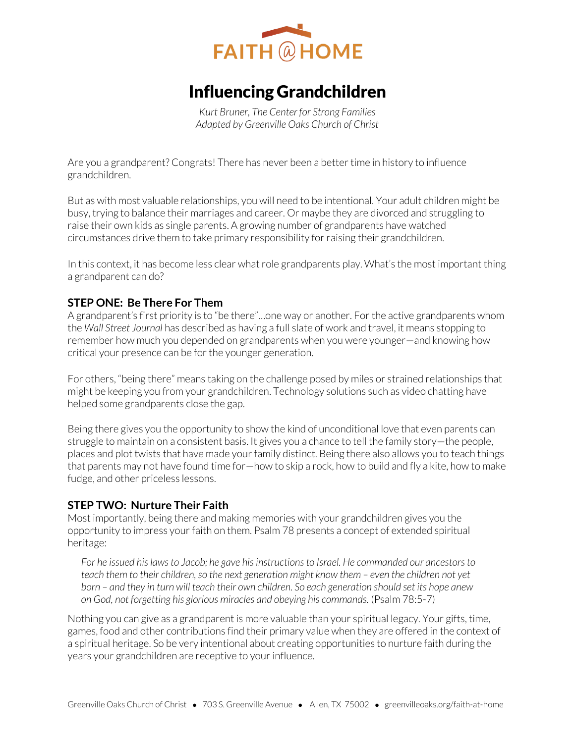

# Influencing Grandchildren

*Kurt Bruner, The Center for Strong Families Adapted by Greenville Oaks Church of Christ* 

Are you a grandparent? Congrats! There has never been a better time in history to influence grandchildren.

But as with most valuable relationships, you will need to be intentional. Your adult children might be busy, trying to balance their marriages and career. Or maybe they are divorced and struggling to raise their own kids as single parents. A growing number of grandparents have watched circumstances drive them to take primary responsibility for raising their grandchildren.

In this context, it has become less clear what role grandparents play. What's the most important thing a grandparent can do?

### **STEP ONE: Be There For Them**

A grandparent's first priority is to "be there"…one way or another. For the active grandparents whom the *Wall Street Journal* has described as having a full slate of work and travel, it means stopping to remember how much you depended on grandparents when you were younger—and knowing how critical your presence can be for the younger generation.

For others, "being there" means taking on the challenge posed by miles or strained relationships that might be keeping you from your grandchildren. Technology solutions such as video chatting have helped some grandparents close the gap.

Being there gives you the opportunity to show the kind of unconditional love that even parents can struggle to maintain on a consistent basis. It gives you a chance to tell the family story—the people, places and plot twists that have made your family distinct. Being there also allows you to teach things that parents may not have found time for—how to skip a rock, how to build and fly a kite, how to make fudge, and other priceless lessons.

#### **STEP TWO: Nurture Their Faith**

Most importantly, being there and making memories with your grandchildren gives you the opportunity to impress your faith on them. Psalm 78 presents a concept of extended spiritual heritage:

*For he issued his laws to Jacob; he gave his instructions to Israel. He commanded our ancestors to teach them to their children, so the next generation might know them – even the children not yet born – and they in turn will teach their own children. So each generation should set its hope anew on God, not forgetting his glorious miracles and obeying his commands.* (Psalm 78:5-7)

Nothing you can give as a grandparent is more valuable than your spiritual legacy. Your gifts, time, games, food and other contributions find their primary value when they are offered in the context of a spiritual heritage. So be very intentional about creating opportunities to nurture faith during the years your grandchildren are receptive to your influence.